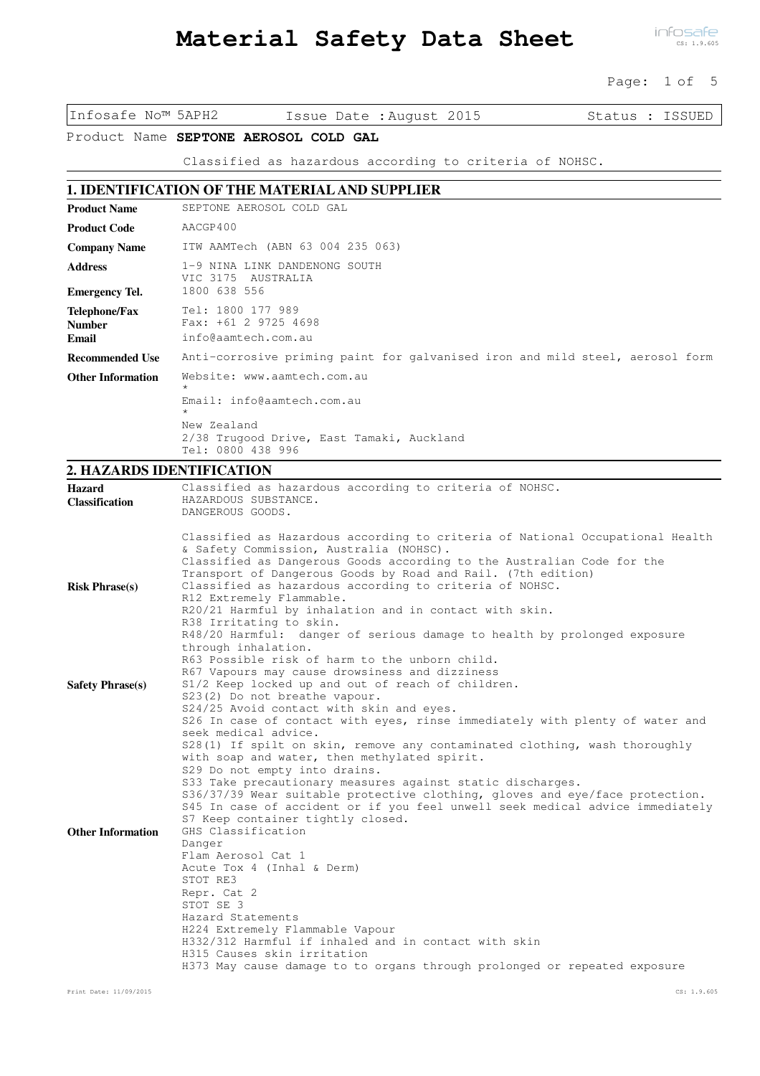# **Material Safety Data Sheet**

infosafe CS: 1.9.605

Page: 1 of 5

Infosafe No™ 5APH2 Issue Date :August 2015 Status : ISSUED

Product Name SEPTONE AEROSOL COLD GAL

Classified as hazardous according to criteria of NOHSC.

# **1. IDENTIFICATION OF THE MATERIAL AND SUPPLIER**

| <b>Product Name</b>                     | SEPTONE AEROSOL COLD GAL                                                                                                                                         |  |
|-----------------------------------------|------------------------------------------------------------------------------------------------------------------------------------------------------------------|--|
| <b>Product Code</b>                     | AACGP400                                                                                                                                                         |  |
| <b>Company Name</b>                     | ITW AAMTech (ABN 63 004 235 063)                                                                                                                                 |  |
| <b>Address</b>                          | 1-9 NINA LINK DANDENONG SOUTH<br>VIC 3175<br>AUSTRALIA                                                                                                           |  |
| <b>Emergency Tel.</b>                   | 1800 638 556                                                                                                                                                     |  |
| Telephone/Fax<br><b>Number</b><br>Email | Tel: 1800 177 989<br>Fax: $+61$ 2 9725 4698<br>info@aamtech.com.au                                                                                               |  |
| <b>Recommended Use</b>                  | Anti-corrosive priming paint for galvanised iron and mild steel, aerosol form                                                                                    |  |
| <b>Other Information</b>                | Website: www.aamtech.com.au<br>$\star$<br>Email: info@aamtech.com.au<br>$\star$<br>New Zealand<br>2/38 Trugood Drive, East Tamaki, Auckland<br>Tel: 0800 438 996 |  |

# **2. HAZARDS IDENTIFICATION**

| Hazard<br><b>Classification</b> | Classified as hazardous according to criteria of NOHSC.<br>HAZARDOUS SUBSTANCE.<br>DANGEROUS GOODS.                                                                                                                                                                                                                                                                                                                                                     |
|---------------------------------|---------------------------------------------------------------------------------------------------------------------------------------------------------------------------------------------------------------------------------------------------------------------------------------------------------------------------------------------------------------------------------------------------------------------------------------------------------|
| <b>Risk Phrase(s)</b>           | Classified as Hazardous according to criteria of National Occupational Health<br>& Safety Commission, Australia (NOHSC).<br>Classified as Dangerous Goods according to the Australian Code for the<br>Transport of Dangerous Goods by Road and Rail. (7th edition)<br>Classified as hazardous according to criteria of NOHSC.                                                                                                                           |
|                                 | R12 Extremely Flammable.<br>R20/21 Harmful by inhalation and in contact with skin.<br>R38 Irritating to skin.<br>R48/20 Harmful: danger of serious damage to health by prolonged exposure<br>through inhalation.<br>R63 Possible risk of harm to the unborn child.                                                                                                                                                                                      |
| <b>Safety Phrase(s)</b>         | R67 Vapours may cause drowsiness and dizziness<br>S1/2 Keep locked up and out of reach of children.<br>S23(2) Do not breathe vapour.<br>S24/25 Avoid contact with skin and eyes.<br>S26 In case of contact with eyes, rinse immediately with plenty of water and<br>seek medical advice.<br>S28(1) If spilt on skin, remove any contaminated clothing, wash thoroughly<br>with soap and water, then methylated spirit.<br>S29 Do not empty into drains. |
| <b>Other Information</b>        | S33 Take precautionary measures against static discharges.<br>S36/37/39 Wear suitable protective clothing, gloves and eye/face protection.<br>S45 In case of accident or if you feel unwell seek medical advice immediately<br>S7 Keep container tightly closed.<br>GHS Classification<br>Danger<br>Flam Aerosol Cat 1                                                                                                                                  |
|                                 | Acute Tox 4 (Inhal & Derm)<br>STOT RE3<br>Repr. Cat 2<br>STOT SE 3<br>Hazard Statements<br>H224 Extremely Flammable Vapour<br>H332/312 Harmful if inhaled and in contact with skin<br>H315 Causes skin irritation<br>H373 May cause damage to to organs through prolonged or repeated exposure                                                                                                                                                          |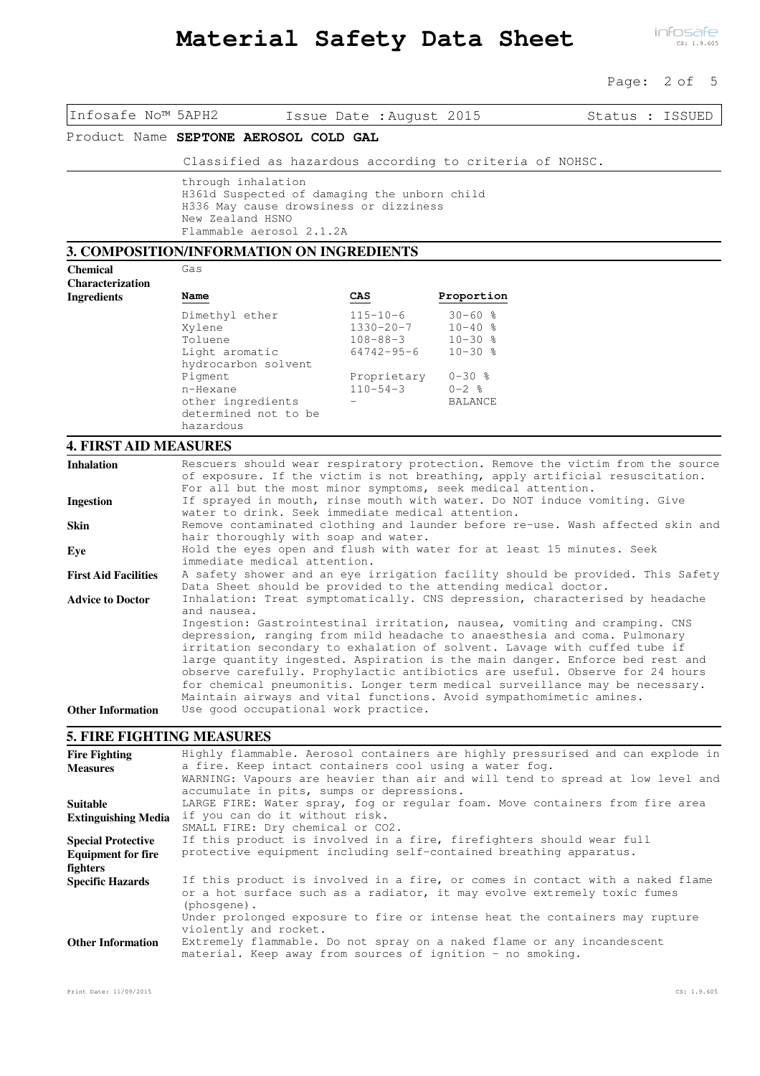#### Page: 2 of 5

| Infosafe No™ 5APH2                                                                                      |                                                                                                                                                                                                                                                                                                                                                                                                                                                                                                                                                                                                                    | Issue Date : August 2015                                                |                                                          | Status : ISSUED                                                                |
|---------------------------------------------------------------------------------------------------------|--------------------------------------------------------------------------------------------------------------------------------------------------------------------------------------------------------------------------------------------------------------------------------------------------------------------------------------------------------------------------------------------------------------------------------------------------------------------------------------------------------------------------------------------------------------------------------------------------------------------|-------------------------------------------------------------------------|----------------------------------------------------------|--------------------------------------------------------------------------------|
|                                                                                                         | Product Name SEPTONE AEROSOL COLD GAL                                                                                                                                                                                                                                                                                                                                                                                                                                                                                                                                                                              |                                                                         |                                                          |                                                                                |
|                                                                                                         | Classified as hazardous according to criteria of NOHSC.                                                                                                                                                                                                                                                                                                                                                                                                                                                                                                                                                            |                                                                         |                                                          |                                                                                |
|                                                                                                         | through inhalation<br>H361d Suspected of damaging the unborn child<br>H336 May cause drowsiness or dizziness<br>New Zealand HSNO<br>Flammable aerosol 2.1.2A                                                                                                                                                                                                                                                                                                                                                                                                                                                       |                                                                         |                                                          |                                                                                |
|                                                                                                         | 3. COMPOSITION/INFORMATION ON INGREDIENTS                                                                                                                                                                                                                                                                                                                                                                                                                                                                                                                                                                          |                                                                         |                                                          |                                                                                |
| <b>Chemical</b><br><b>Characterization</b>                                                              | Gas                                                                                                                                                                                                                                                                                                                                                                                                                                                                                                                                                                                                                |                                                                         |                                                          |                                                                                |
| <b>Ingredients</b>                                                                                      | Name                                                                                                                                                                                                                                                                                                                                                                                                                                                                                                                                                                                                               | CAS                                                                     | Proportion                                               |                                                                                |
|                                                                                                         | Dimethyl ether<br>Xylene<br>Toluene<br>Light aromatic                                                                                                                                                                                                                                                                                                                                                                                                                                                                                                                                                              | $115 - 10 - 6$<br>$1330 - 20 - 7$<br>$108 - 88 - 3$<br>$64742 - 95 - 6$ | $30 - 60$ %<br>$10 - 40$ %<br>$10 - 30$ %<br>$10 - 30$ % |                                                                                |
|                                                                                                         | hydrocarbon solvent<br>Pigment<br>n-Hexane<br>other ingredients<br>determined not to be<br>hazardous                                                                                                                                                                                                                                                                                                                                                                                                                                                                                                               | Proprietary<br>$110 - 54 - 3$                                           | $0 - 30$ %<br>$0 - 2$ %<br><b>BALANCE</b>                |                                                                                |
| <b>4. FIRST AID MEASURES</b>                                                                            |                                                                                                                                                                                                                                                                                                                                                                                                                                                                                                                                                                                                                    |                                                                         |                                                          |                                                                                |
| <b>Inhalation</b>                                                                                       | of exposure. If the victim is not breathing, apply artificial resuscitation.<br>For all but the most minor symptoms, seek medical attention.                                                                                                                                                                                                                                                                                                                                                                                                                                                                       |                                                                         |                                                          | Rescuers should wear respiratory protection. Remove the victim from the source |
| <b>Ingestion</b>                                                                                        | If sprayed in mouth, rinse mouth with water. Do NOT induce vomiting. Give<br>water to drink. Seek immediate medical attention.                                                                                                                                                                                                                                                                                                                                                                                                                                                                                     |                                                                         |                                                          |                                                                                |
| Skin                                                                                                    | hair thoroughly with soap and water.                                                                                                                                                                                                                                                                                                                                                                                                                                                                                                                                                                               |                                                                         |                                                          | Remove contaminated clothing and launder before re-use. Wash affected skin and |
| Eye                                                                                                     | Hold the eyes open and flush with water for at least 15 minutes. Seek<br>immediate medical attention.                                                                                                                                                                                                                                                                                                                                                                                                                                                                                                              |                                                                         |                                                          |                                                                                |
| <b>First Aid Facilities</b><br><b>Advice to Doctor</b>                                                  | A safety shower and an eye irrigation facility should be provided. This Safety<br>Data Sheet should be provided to the attending medical doctor.<br>Inhalation: Treat symptomatically. CNS depression, characterised by headache                                                                                                                                                                                                                                                                                                                                                                                   |                                                                         |                                                          |                                                                                |
| <b>Other Information</b>                                                                                | and nausea.<br>Ingestion: Gastrointestinal irritation, nausea, vomiting and cramping. CNS<br>depression, ranging from mild headache to anaesthesia and coma. Pulmonary<br>irritation secondary to exhalation of solvent. Lavage with cuffed tube if<br>large quantity ingested. Aspiration is the main danger. Enforce bed rest and<br>observe carefully. Prophylactic antibiotics are useful. Observe for 24 hours<br>for chemical pneumonitis. Longer term medical surveillance may be necessary.<br>Maintain airways and vital functions. Avoid sympathomimetic amines.<br>Use good occupational work practice. |                                                                         |                                                          |                                                                                |
| <b>5. FIRE FIGHTING MEASURES</b>                                                                        |                                                                                                                                                                                                                                                                                                                                                                                                                                                                                                                                                                                                                    |                                                                         |                                                          |                                                                                |
| <b>Fire Fighting</b><br><b>Measures</b>                                                                 | Highly flammable. Aerosol containers are highly pressurised and can explode in<br>a fire. Keep intact containers cool using a water fog.<br>WARNING: Vapours are heavier than air and will tend to spread at low level and<br>accumulate in pits, sumps or depressions.<br>LARGE FIRE: Water spray, fog or regular foam. Move containers from fire area<br>if you can do it without risk.<br>SMALL FIRE: Dry chemical or CO2.<br>If this product is involved in a fire, firefighters should wear full<br>protective equipment including self-contained breathing apparatus.                                        |                                                                         |                                                          |                                                                                |
| <b>Suitable</b><br><b>Extinguishing Media</b><br><b>Special Protective</b><br><b>Equipment for fire</b> |                                                                                                                                                                                                                                                                                                                                                                                                                                                                                                                                                                                                                    |                                                                         |                                                          |                                                                                |
| fighters<br><b>Specific Hazards</b><br><b>Other Information</b>                                         | or a hot surface such as a radiator, it may evolve extremely toxic fumes<br>(phosqene).<br>Under prolonged exposure to fire or intense heat the containers may rupture<br>violently and rocket.<br>Extremely flammable. Do not spray on a naked flame or any incandescent                                                                                                                                                                                                                                                                                                                                          |                                                                         |                                                          | If this product is involved in a fire, or comes in contact with a naked flame  |
|                                                                                                         | material. Keep away from sources of ignition - no smoking.                                                                                                                                                                                                                                                                                                                                                                                                                                                                                                                                                         |                                                                         |                                                          |                                                                                |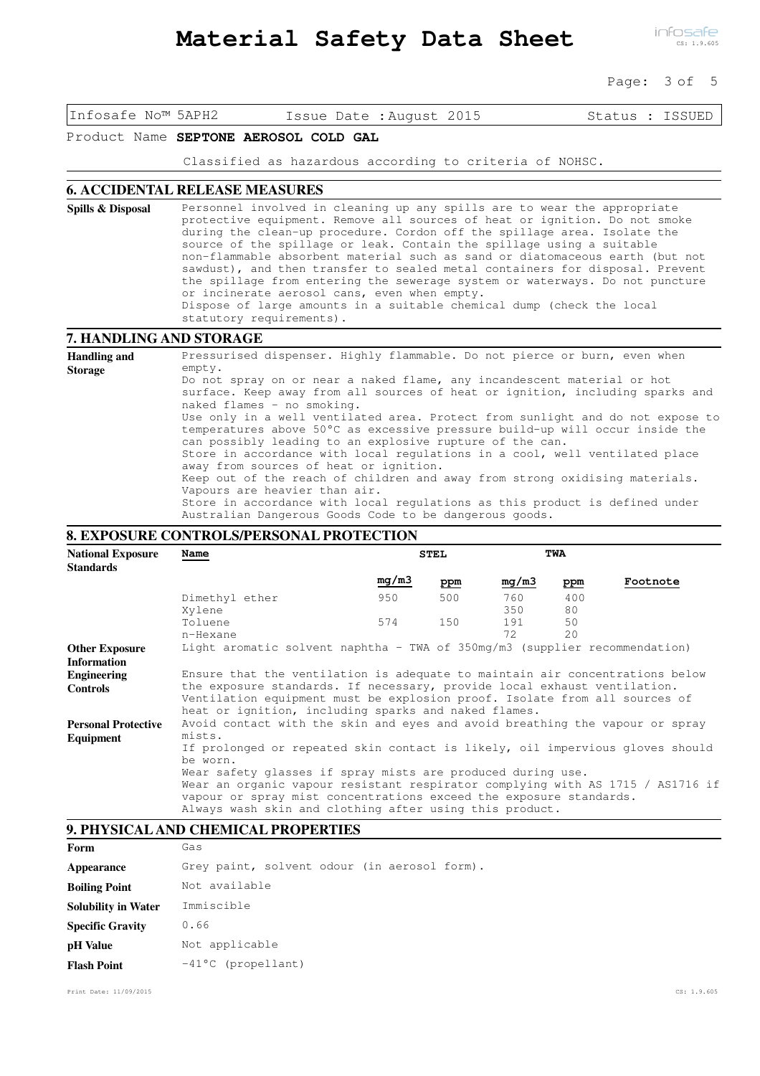infosafe CS: 1.9.605

Page: 3 of 5

Infosafe No™ 5APH2 Issue Date :August 2015 Status : ISSUED

### Product Name **SEPTONE AEROSOL COLD GAL**

Classified as hazardous according to criteria of NOHSC.

#### **6. ACCIDENTAL RELEASE MEASURES**

Personnel involved in cleaning up any spills are to wear the appropriate protective equipment. Remove all sources of heat or ignition. Do not smoke during the clean-up procedure. Cordon off the spillage area. Isolate the source of the spillage or leak. Contain the spillage using a suitable non-flammable absorbent material such as sand or diatomaceous earth (but not sawdust), and then transfer to sealed metal containers for disposal. Prevent the spillage from entering the sewerage system or waterways. Do not puncture or incinerate aerosol cans, even when empty. Dispose of large amounts in a suitable chemical dump (check the local statutory requirements). **Spills & Disposal**

#### **7. HANDLING AND STORAGE**

Pressurised dispenser. Highly flammable. Do not pierce or burn, even when empty. Do not spray on or near a naked flame, any incandescent material or hot surface. Keep away from all sources of heat or ignition, including sparks and naked flames - no smoking. Use only in a well ventilated area. Protect from sunlight and do not expose to temperatures above 50°C as excessive pressure build-up will occur inside the can possibly leading to an explosive rupture of the can. Store in accordance with local regulations in a cool, well ventilated place away from sources of heat or ignition. Keep out of the reach of children and away from strong oxidising materials. Vapours are heavier than air. Store in accordance with local regulations as this product is defined under Australian Dangerous Goods Code to be dangerous goods. **Handling and Storage**

#### **8. EXPOSURE CONTROLS/PERSONAL PROTECTION**

| <b>National Exposure</b><br><b>Standards</b>                                                                                                                                                                                                                                   | Name                                                                                                                                                                                                           |       | <b>STEL</b> |            | TWA       |          |
|--------------------------------------------------------------------------------------------------------------------------------------------------------------------------------------------------------------------------------------------------------------------------------|----------------------------------------------------------------------------------------------------------------------------------------------------------------------------------------------------------------|-------|-------------|------------|-----------|----------|
|                                                                                                                                                                                                                                                                                |                                                                                                                                                                                                                | mg/m3 | ppm         | mg/m3      | ppm       | Footnote |
|                                                                                                                                                                                                                                                                                | Dimethyl ether<br>Xylene                                                                                                                                                                                       | 950   | 500         | 760<br>350 | 400<br>80 |          |
|                                                                                                                                                                                                                                                                                | Toluene                                                                                                                                                                                                        | 574   | 150         | 191        | 50        |          |
|                                                                                                                                                                                                                                                                                | n-Hexane                                                                                                                                                                                                       |       |             | 72         | 2.0       |          |
| <b>Other Exposure</b><br><b>Information</b>                                                                                                                                                                                                                                    | Light aromatic solvent naphtha - TWA of 350mg/m3 (supplier recommendation)                                                                                                                                     |       |             |            |           |          |
| Engineering                                                                                                                                                                                                                                                                    | Ensure that the ventilation is adequate to maintain air concentrations below                                                                                                                                   |       |             |            |           |          |
| <b>Controls</b>                                                                                                                                                                                                                                                                | the exposure standards. If necessary, provide local exhaust ventilation.<br>Ventilation equipment must be explosion proof. Isolate from all sources of<br>heat or ignition, including sparks and naked flames. |       |             |            |           |          |
| <b>Personal Protective</b>                                                                                                                                                                                                                                                     | Avoid contact with the skin and eyes and avoid breathing the vapour or spray                                                                                                                                   |       |             |            |           |          |
| Equipment                                                                                                                                                                                                                                                                      | mists.<br>If prolonged or repeated skin contact is likely, oil impervious gloves should<br>be worn.                                                                                                            |       |             |            |           |          |
| Wear safety glasses if spray mists are produced during use.<br>Wear an organic vapour resistant respirator complying with AS 1715 / AS1716 if<br>vapour or spray mist concentrations exceed the exposure standards.<br>Always wash skin and clothing after using this product. |                                                                                                                                                                                                                |       |             |            |           |          |

#### **9. PHYSICAL AND CHEMICAL PROPERTIES**

| Form                       | Gas                                          |
|----------------------------|----------------------------------------------|
| Appearance                 | Grey paint, solvent odour (in aerosol form). |
| <b>Boiling Point</b>       | Not available                                |
| <b>Solubility in Water</b> | Immiscible                                   |
| <b>Specific Gravity</b>    | 0.66                                         |
| pH Value                   | Not applicable                               |
| <b>Flash Point</b>         | $-41^{\circ}$ C (propellant)                 |

Print Date: 11/09/2015 CS: 1.9.605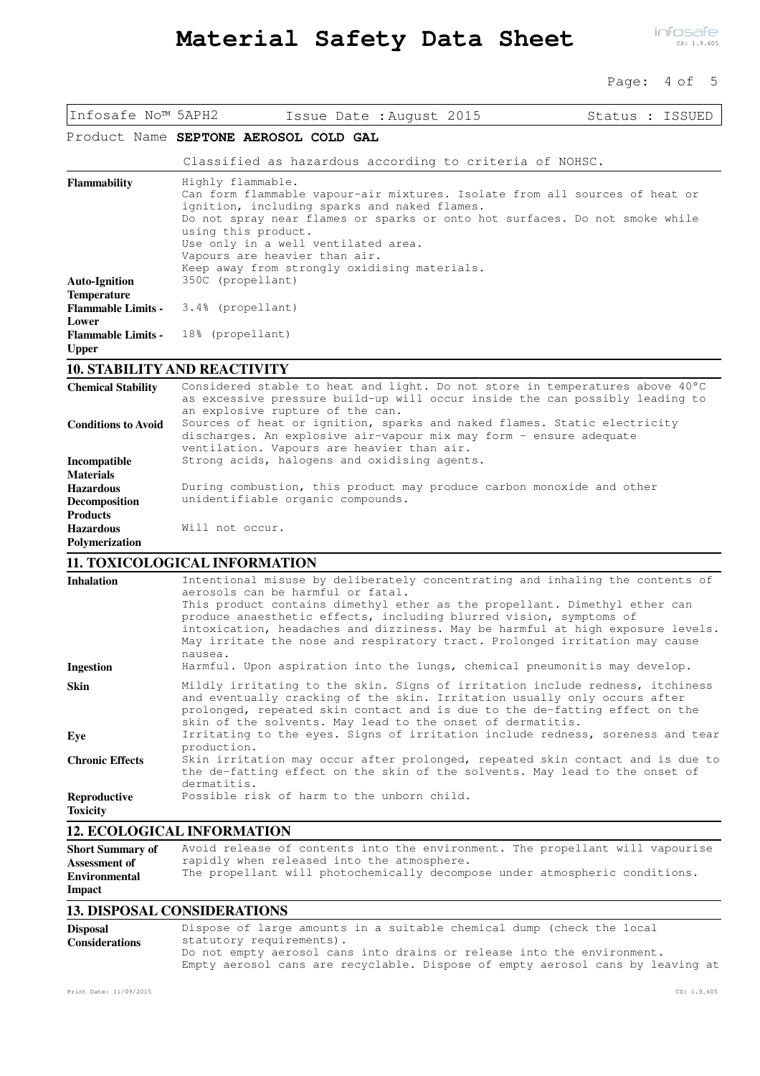#### Page: 4 of 5

| Infosafe No™ 5APH2                                                                | Issue Date : August 2015                                                                                                                                                                                                                                                                                                                                                                                                                                                                                                         | Status : ISSUED |  |
|-----------------------------------------------------------------------------------|----------------------------------------------------------------------------------------------------------------------------------------------------------------------------------------------------------------------------------------------------------------------------------------------------------------------------------------------------------------------------------------------------------------------------------------------------------------------------------------------------------------------------------|-----------------|--|
|                                                                                   | Product Name SEPTONE AEROSOL COLD GAL                                                                                                                                                                                                                                                                                                                                                                                                                                                                                            |                 |  |
|                                                                                   | Classified as hazardous according to criteria of NOHSC.                                                                                                                                                                                                                                                                                                                                                                                                                                                                          |                 |  |
| Flammability                                                                      | Highly flammable.<br>Can form flammable vapour-air mixtures. Isolate from all sources of heat or<br>ignition, including sparks and naked flames.<br>Do not spray near flames or sparks or onto hot surfaces. Do not smoke while<br>using this product.<br>Use only in a well ventilated area.<br>Vapours are heavier than air.<br>Keep away from strongly oxidising materials.                                                                                                                                                   |                 |  |
| <b>Auto-Ignition</b>                                                              | 350C (propellant)                                                                                                                                                                                                                                                                                                                                                                                                                                                                                                                |                 |  |
| <b>Temperature</b><br><b>Flammable Limits -</b><br>Lower                          | 3.4% (propellant)                                                                                                                                                                                                                                                                                                                                                                                                                                                                                                                |                 |  |
| <b>Flammable Limits -</b><br><b>Upper</b>                                         | 18% (propellant)                                                                                                                                                                                                                                                                                                                                                                                                                                                                                                                 |                 |  |
|                                                                                   | <b>10. STABILITY AND REACTIVITY</b>                                                                                                                                                                                                                                                                                                                                                                                                                                                                                              |                 |  |
| <b>Chemical Stability</b>                                                         | Considered stable to heat and light. Do not store in temperatures above 40°C<br>as excessive pressure build-up will occur inside the can possibly leading to<br>an explosive rupture of the can.                                                                                                                                                                                                                                                                                                                                 |                 |  |
| <b>Conditions to Avoid</b>                                                        | Sources of heat or ignition, sparks and naked flames. Static electricity<br>discharges. An explosive air-vapour mix may form - ensure adequate<br>ventilation. Vapours are heavier than air.                                                                                                                                                                                                                                                                                                                                     |                 |  |
| Incompatible<br><b>Materials</b>                                                  | Strong acids, halogens and oxidising agents.                                                                                                                                                                                                                                                                                                                                                                                                                                                                                     |                 |  |
| <b>Hazardous</b><br>Decomposition<br><b>Products</b>                              | During combustion, this product may produce carbon monoxide and other<br>unidentifiable organic compounds.                                                                                                                                                                                                                                                                                                                                                                                                                       |                 |  |
| <b>Hazardous</b><br>Polymerization                                                | Will not occur.                                                                                                                                                                                                                                                                                                                                                                                                                                                                                                                  |                 |  |
|                                                                                   | <b>11. TOXICOLOGICAL INFORMATION</b>                                                                                                                                                                                                                                                                                                                                                                                                                                                                                             |                 |  |
| <b>Inhalation</b><br><b>Ingestion</b>                                             | Intentional misuse by deliberately concentrating and inhaling the contents of<br>aerosols can be harmful or fatal.<br>This product contains dimethyl ether as the propellant. Dimethyl ether can<br>produce anaesthetic effects, including blurred vision, symptoms of<br>intoxication, headaches and dizziness. May be harmful at high exposure levels.<br>May irritate the nose and respiratory tract. Prolonged irritation may cause<br>nausea.<br>Harmful. Upon aspiration into the lungs, chemical pneumonitis may develop. |                 |  |
| Skin                                                                              | Mildly irritating to the skin. Signs of irritation include redness, itchiness<br>and eventually cracking of the skin. Irritation usually only occurs after<br>prolonged, repeated skin contact and is due to the de-fatting effect on the<br>skin of the solvents. May lead to the onset of dermatitis.                                                                                                                                                                                                                          |                 |  |
| Eye                                                                               | Irritating to the eyes. Signs of irritation include redness, soreness and tear<br>production.                                                                                                                                                                                                                                                                                                                                                                                                                                    |                 |  |
| <b>Chronic Effects</b>                                                            | Skin irritation may occur after prolonged, repeated skin contact and is due to<br>the de-fatting effect on the skin of the solvents. May lead to the onset of<br>dermatitis.                                                                                                                                                                                                                                                                                                                                                     |                 |  |
| Reproductive<br><b>Toxicity</b>                                                   | Possible risk of harm to the unborn child.                                                                                                                                                                                                                                                                                                                                                                                                                                                                                       |                 |  |
|                                                                                   | <b>12. ECOLOGICAL INFORMATION</b>                                                                                                                                                                                                                                                                                                                                                                                                                                                                                                |                 |  |
| <b>Short Summary of</b><br><b>Assessment of</b><br><b>Environmental</b><br>Impact | Avoid release of contents into the environment. The propellant will vapourise<br>rapidly when released into the atmosphere.<br>The propellant will photochemically decompose under atmospheric conditions.                                                                                                                                                                                                                                                                                                                       |                 |  |
|                                                                                   | $0.011$ CONGIDER UTLO                                                                                                                                                                                                                                                                                                                                                                                                                                                                                                            |                 |  |

## **13. DISPOSAL CONSIDERATIONS**

| <b>Disposal</b>       | Dispose of large amounts in a suitable chemical dump (check the local          |
|-----------------------|--------------------------------------------------------------------------------|
| <b>Considerations</b> | statutory requirements).                                                       |
|                       | Do not empty aerosol cans into drains or release into the environment.         |
|                       | Empty aerosol cans are recyclable. Dispose of empty aerosol cans by leaving at |